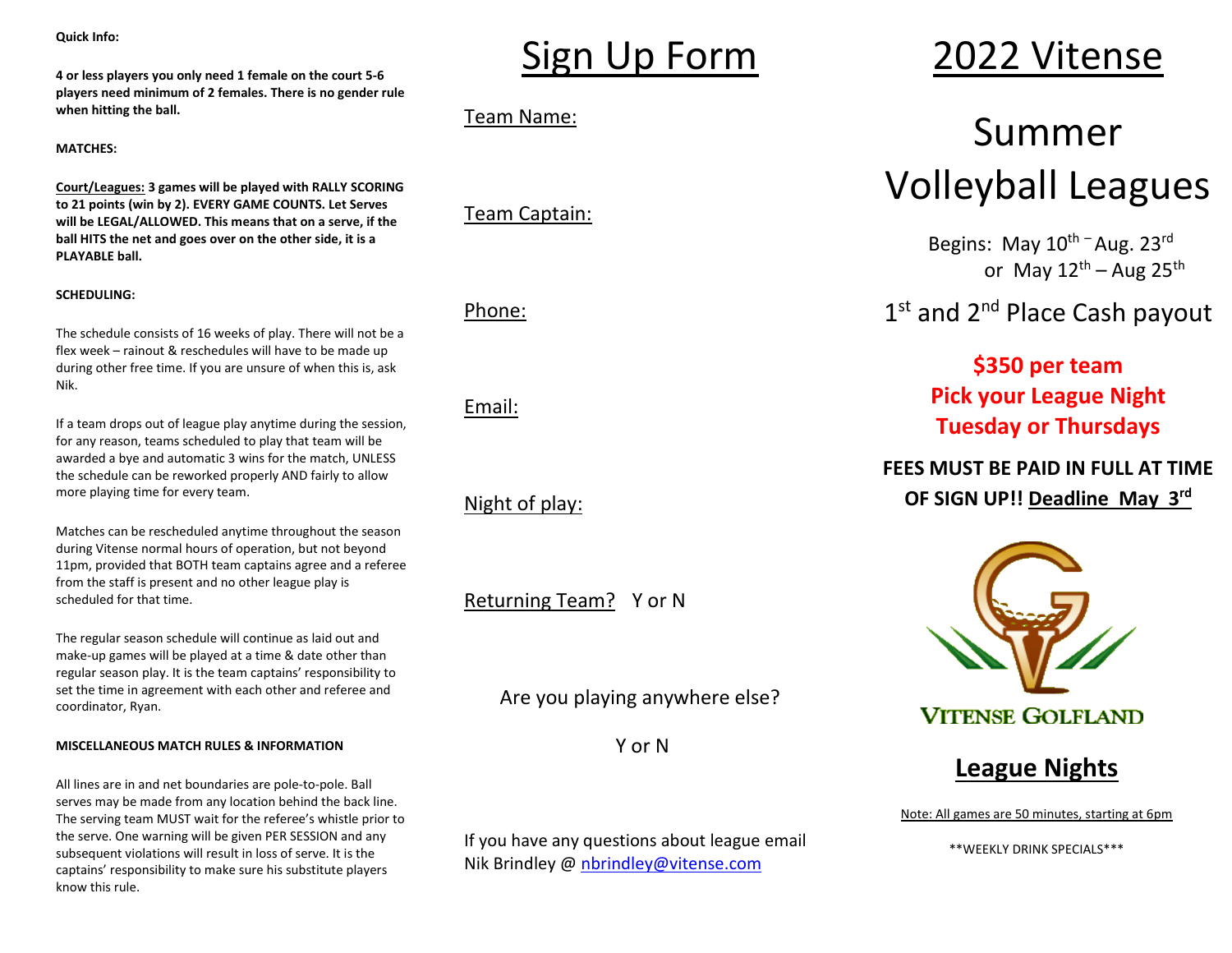**Quick Info:**

**4 or less players you only need 1 female on the court 5-6 players need minimum of 2 females. There is no gender rule when hitting the ball.** 

**MATCHES:**

**Court/Leagues: 3 games will be played with RALLY SCORING to 21 points (win by 2). EVERY GAME COUNTS. Let Serves will be LEGAL/ALLOWED. This means that on a serve, if the ball HITS the net and goes over on the other side, it is a PLAYABLE ball.**

### **SCHEDULING:**

The schedule consists of 16 weeks of play. There will not be a flex week – rainout & reschedules will have to be made up during other free time. If you are unsure of when this is, ask Nik.

If a team drops out of league play anytime during the session, for any reason, teams scheduled to play that team will be awarded a bye and automatic 3 wins for the match, UNLESS the schedule can be reworked properly AND fairly to allow more playing time for every team.

Matches can be rescheduled anytime throughout the season during Vitense normal hours of operation, but not beyond 11pm, provided that BOTH team captains agree and a referee from the staff is present and no other league play is scheduled for that time.

The regular season schedule will continue as laid out and make-up games will be played at a time & date other than regular season play. It is the team captains' responsibility to set the time in agreement with each other and referee and coordinator, Ryan.

#### **MISCELLANEOUS MATCH RULES & INFORMATION**

All lines are in and net boundaries are pole-to-pole. Ball serves may be made from any location behind the back line. The serving team MUST wait for the referee's whistle prior to the serve. One warning will be given PER SESSION and any subsequent violations will result in loss of serve. It is the captains' responsibility to make sure his substitute players know this rule.

# Sign Up Form

Team Name:

Team Captain:

Phone:

Email:

Night of play:

Returning Team? Y or N

Are you playing anywhere else?

Y or N

If you have any questions about league email Nik Brindley @ [nbrindley@vitense.com](mailto:nbrindley@vitense.com)

# 2022 Vitense

# Summer Volleyball Leagues

Begins: May 10<sup>th -</sup> Aug. 23<sup>rd</sup> or May 12<sup>th</sup> – Aug 25<sup>th</sup>

1st and 2<sup>nd</sup> Place Cash payout

**\$350 per team Pick your League Night Tuesday or Thursdays**

## **FEES MUST BE PAID IN FULL AT TIME OF SIGN UP!! Deadline May 3 rd**



**League Nights**

Note: All games are 50 minutes, starting at 6pm

\*\*WEEKLY DRINK SPECIALS\*\*\*